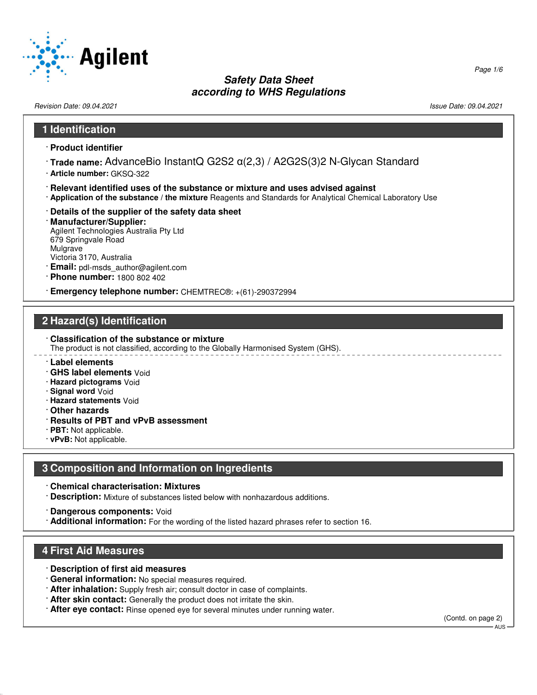

Revision Date: 09.04.2021 2012 12:03 12:04 2021 2021 20:04:09:04 20:04 20:04 20:04 20:04 20:04 20:04 20:04 20:0

# **1 Identification** · **Product identifier** · **Trade name:** AdvanceBio InstantQ G2S2 α(2,3) / A2G2S(3)2 N-Glycan Standard · **Article number:** GKSQ-322 · **Relevant identified uses of the substance or mixture and uses advised against** · **Application of the substance / the mixture** Reagents and Standards for Analytical Chemical Laboratory Use · **Details of the supplier of the safety data sheet** · **Manufacturer/Supplier:** Agilent Technologies Australia Pty Ltd 679 Springvale Road Mulgrave Victoria 3170, Australia · **Email:** pdl-msds\_author@agilent.com · **Phone number:** 1800 802 402 · **Emergency telephone number:** CHEMTREC®: +(61)-290372994

# **2 Hazard(s) Identification**

· **Classification of the substance or mixture** The product is not classified, according to the Globally Harmonised System (GHS).

- · **Label elements**
- · **GHS label elements** Void
- · **Hazard pictograms** Void
- · **Signal word** Void
- · **Hazard statements** Void
- · **Other hazards**
- · **Results of PBT and vPvB assessment**
- · **PBT:** Not applicable.
- · **vPvB:** Not applicable.

# **3 Composition and Information on Ingredients**

- · **Chemical characterisation: Mixtures**
- · **Description:** Mixture of substances listed below with nonhazardous additions.
- · **Dangerous components:** Void
- · **Additional information:** For the wording of the listed hazard phrases refer to section 16.

# **4 First Aid Measures**

52.0.1.1

- · **Description of first aid measures**
- · **General information:** No special measures required.
- · **After inhalation:** Supply fresh air; consult doctor in case of complaints.
- · **After skin contact:** Generally the product does not irritate the skin.
- · **After eye contact:** Rinse opened eye for several minutes under running water.

(Contd. on page 2)

 $AIB$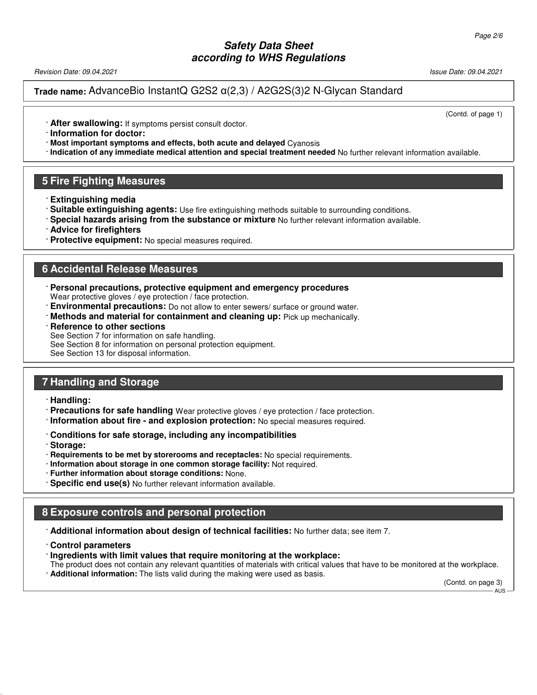Revision Date: 09.04.2021 Issue Date: 09.04.2021

**Trade name:** AdvanceBio InstantQ G2S2 α(2,3) / A2G2S(3)2 N-Glycan Standard

(Contd. of page 1)

· **After swallowing:** If symptoms persist consult doctor.

· **Information for doctor:**

· **Most important symptoms and effects, both acute and delayed** Cyanosis

· **Indication of any immediate medical attention and special treatment needed** No further relevant information available.

### **5 Fire Fighting Measures**

- · **Extinguishing media**
- · **Suitable extinguishing agents:** Use fire extinguishing methods suitable to surrounding conditions.
- · **Special hazards arising from the substance or mixture** No further relevant information available.
- · **Advice for firefighters**
- · **Protective equipment:** No special measures required.

#### **6 Accidental Release Measures**

- · **Personal precautions, protective equipment and emergency procedures** Wear protective gloves / eye protection / face protection.
- · **Environmental precautions:** Do not allow to enter sewers/ surface or ground water.
- · **Methods and material for containment and cleaning up:** Pick up mechanically.
- **Reference to other sections**

See Section 7 for information on safe handling. See Section 8 for information on personal protection equipment. See Section 13 for disposal information.

#### **7 Handling and Storage**

· **Handling:**

- · **Precautions for safe handling** Wear protective gloves / eye protection / face protection.
- · **Information about fire and explosion protection:** No special measures required.
- · **Conditions for safe storage, including any incompatibilities**
- · **Storage:**

52.0.1.1

- · **Requirements to be met by storerooms and receptacles:** No special requirements.
- · **Information about storage in one common storage facility:** Not required.
- · **Further information about storage conditions:** None.
- · **Specific end use(s)** No further relevant information available.

#### **8 Exposure controls and personal protection**

· **Additional information about design of technical facilities:** No further data; see item 7.

- · **Control parameters**
- · **Ingredients with limit values that require monitoring at the workplace:**
- The product does not contain any relevant quantities of materials with critical values that have to be monitored at the workplace. · **Additional information:** The lists valid during the making were used as basis.

(Contd. on page 3)

AUS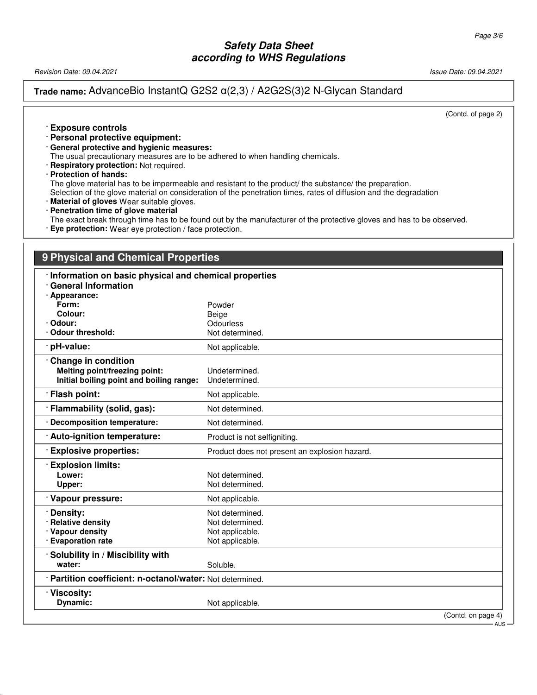Revision Date: 09.04.2021 2021 2021 20:04.2021 20:04.2021 20:04.2021 20:04.2021 20:04.2021

#### **Trade name:** AdvanceBio InstantQ G2S2 α(2,3) / A2G2S(3)2 N-Glycan Standard

(Contd. of page 2)

#### · **Exposure controls**

· **Personal protective equipment:**

· **General protective and hygienic measures:**

The usual precautionary measures are to be adhered to when handling chemicals.

- · **Respiratory protection:** Not required.
- · **Protection of hands:**

52.0.1.1

The glove material has to be impermeable and resistant to the product/ the substance/ the preparation.

Selection of the glove material on consideration of the penetration times, rates of diffusion and the degradation

- · **Material of gloves** Wear suitable gloves.
- · **Penetration time of glove material**

The exact break through time has to be found out by the manufacturer of the protective gloves and has to be observed. · **Eye protection:** Wear eye protection / face protection.

#### **9 Physical and Chemical Properties**

| Information on basic physical and chemical properties     |                                               |  |
|-----------------------------------------------------------|-----------------------------------------------|--|
| <b>General Information</b>                                |                                               |  |
| · Appearance:<br>Form:                                    | Powder                                        |  |
| Colour:                                                   | Beige                                         |  |
| · Odour:                                                  | Odourless                                     |  |
| Odour threshold:                                          | Not determined.                               |  |
| · pH-value:                                               | Not applicable.                               |  |
| Change in condition                                       |                                               |  |
| Melting point/freezing point:                             | Undetermined.                                 |  |
| Initial boiling point and boiling range:                  | Undetermined.                                 |  |
| · Flash point:                                            | Not applicable.                               |  |
| · Flammability (solid, gas):                              | Not determined.                               |  |
| · Decomposition temperature:                              | Not determined.                               |  |
| : Auto-ignition temperature:                              | Product is not selfigniting.                  |  |
| <b>Explosive properties:</b>                              | Product does not present an explosion hazard. |  |
| <b>Explosion limits:</b>                                  |                                               |  |
| Lower:                                                    | Not determined.                               |  |
| Upper:                                                    | Not determined.                               |  |
| Vapour pressure:                                          | Not applicable.                               |  |
| · Density:                                                | Not determined.                               |  |
| · Relative density                                        | Not determined.                               |  |
| · Vapour density                                          | Not applicable.                               |  |
| · Evaporation rate                                        | Not applicable.                               |  |
| Solubility in / Miscibility with                          |                                               |  |
| water:                                                    | Soluble.                                      |  |
| · Partition coefficient: n-octanol/water: Not determined. |                                               |  |
| <b>Viscosity:</b>                                         |                                               |  |
| Dynamic:                                                  | Not applicable.                               |  |
|                                                           | (Contd. on page 4)                            |  |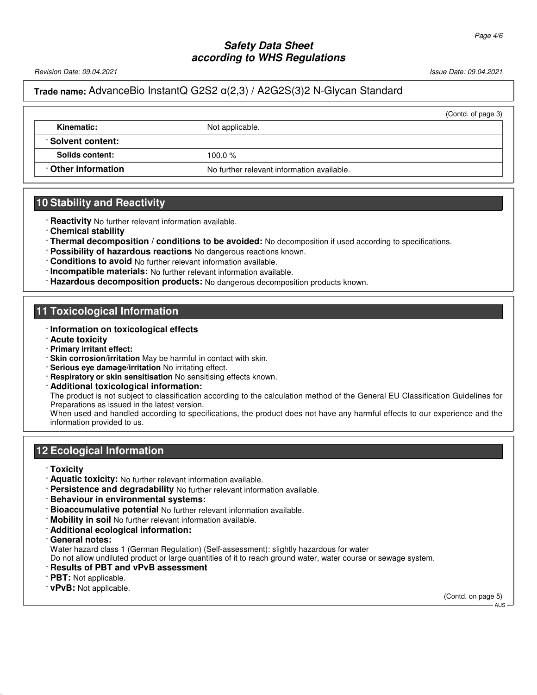Revision Date: 09.04.2021 Issue Date: 09.04.2021

#### **Trade name:** AdvanceBio InstantQ G2S2 α(2,3) / A2G2S(3)2 N-Glycan Standard

|                    |                                            | (Contd. of page 3) |
|--------------------|--------------------------------------------|--------------------|
| Kinematic:         | Not applicable.                            |                    |
| : Solvent content: |                                            |                    |
| Solids content:    | 100.0 $%$                                  |                    |
| Other information  | No further relevant information available. |                    |
|                    |                                            |                    |

#### **10 Stability and Reactivity**

- · **Reactivity** No further relevant information available.
- · **Chemical stability**
- · **Thermal decomposition / conditions to be avoided:** No decomposition if used according to specifications.
- · **Possibility of hazardous reactions** No dangerous reactions known.
- · **Conditions to avoid** No further relevant information available.
- · **Incompatible materials:** No further relevant information available.
- · **Hazardous decomposition products:** No dangerous decomposition products known.

#### **11 Toxicological Information**

- · **Information on toxicological effects**
- · **Acute toxicity**
- · **Primary irritant effect:**
- · **Skin corrosion/irritation** May be harmful in contact with skin.
- · **Serious eye damage/irritation** No irritating effect.
- · **Respiratory or skin sensitisation** No sensitising effects known.
- · **Additional toxicological information:**

The product is not subject to classification according to the calculation method of the General EU Classification Guidelines for Preparations as issued in the latest version.

When used and handled according to specifications, the product does not have any harmful effects to our experience and the information provided to us.

# **12 Ecological Information**

- · **Toxicity**
- · **Aquatic toxicity:** No further relevant information available.
- · **Persistence and degradability** No further relevant information available.
- · **Behaviour in environmental systems:**
- · **Bioaccumulative potential** No further relevant information available.
- · **Mobility in soil** No further relevant information available.
- · **Additional ecological information:**
- · **General notes:**

Water hazard class 1 (German Regulation) (Self-assessment): slightly hazardous for water

Do not allow undiluted product or large quantities of it to reach ground water, water course or sewage system.

- · **Results of PBT and vPvB assessment**
- · **PBT:** Not applicable.

52.0.1.1

· **vPvB:** Not applicable.

(Contd. on page 5) AUS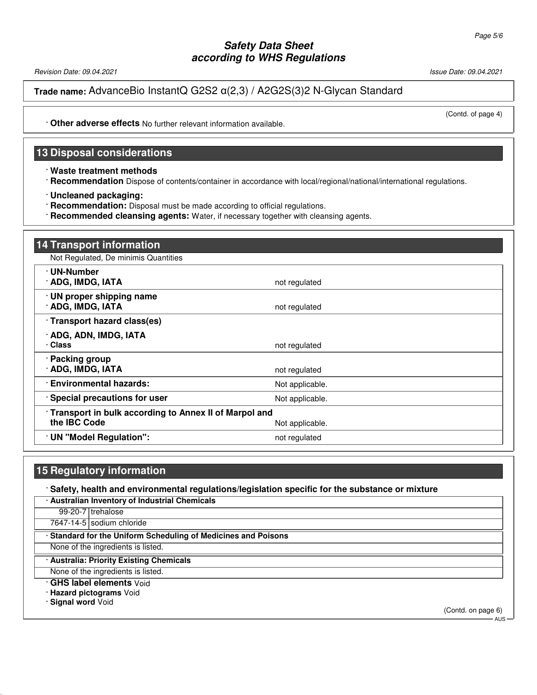Revision Date: 09.04.2021 2021 2021 20:04.2021 20:04.2021 20:04.2021 20:04.2021 20:04.2021

**Trade name:** AdvanceBio InstantQ G2S2 α(2,3) / A2G2S(3)2 N-Glycan Standard

(Contd. of page 4)

· **Other adverse effects** No further relevant information available.

# **13 Disposal considerations**

- · **Waste treatment methods**
- · **Recommendation** Dispose of contents/container in accordance with local/regional/national/international regulations.
- · **Uncleaned packaging:**
- · **Recommendation:** Disposal must be made according to official regulations.
- · **Recommended cleansing agents:** Water, if necessary together with cleansing agents.

| <b>14 Transport information</b>                                                          |                 |
|------------------------------------------------------------------------------------------|-----------------|
| Not Regulated, De minimis Quantities                                                     |                 |
| · UN-Number<br>· ADG, IMDG, IATA                                                         | not regulated   |
| · UN proper shipping name<br>· ADG, IMDG, IATA                                           | not regulated   |
| Transport hazard class(es)                                                               |                 |
| · ADG, ADN, IMDG, IATA<br>· Class                                                        | not regulated   |
| · Packing group<br><b>ADG, IMDG, IATA</b>                                                | not regulated   |
| · Environmental hazards:                                                                 | Not applicable. |
| · Special precautions for user                                                           | Not applicable. |
| Transport in bulk according to Annex II of Marpol and<br>the IBC Code<br>Not applicable. |                 |
| · UN "Model Regulation":                                                                 | not regulated   |

#### **15 Regulatory information**

· **Safety, health and environmental regulations/legislation specific for the substance or mixture**

| · Australian Inventory of Industrial Chemicals                 |                                          |  |
|----------------------------------------------------------------|------------------------------------------|--|
|                                                                | 99-20-7 trehalose                        |  |
|                                                                | 7647-14-5 sodium chloride                |  |
| · Standard for the Uniform Scheduling of Medicines and Poisons |                                          |  |
| None of the ingredients is listed.                             |                                          |  |
|                                                                | · Australia: Priority Existing Chemicals |  |
| None of the ingredients is listed.                             |                                          |  |

· **GHS label elements** Void

· **Hazard pictograms** Void

· **Signal word** Void

52.0.1.1

(Contd. on page 6)

AUS